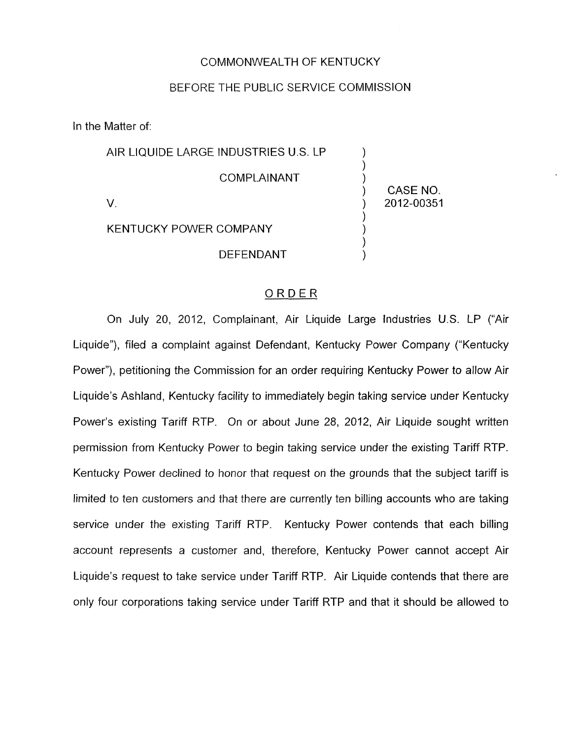# COMMONWEALTH OF KENTUCKY

## BEFORE THE PUBLIC SERVICE COMMISSION

In the Matter of:

AIR LlQUlDE LARGE INDUSTRIES U.S. LP 1  $\sum_{i=1}^{n}$ )<br>) CASE NO.  $\overline{)}$ KENTUCKY POWER COMPANY (1998) ) **DEFENDANT COMPLAINANT** V. ) 2012-00351

#### ORDER

On July 20, 2012, Complainant, Air Liquide Large Industries U.S. LP ("Air Liquide"), filed a complaint against Defendant, Kentucky Power Company ("Kentucky Power"), petitioning the Commission for an order requiring Kentucky Power to allow Air Liquide's Ashland, Kentucky facility to immediately begin taking service under Kentucky Power's existing Tariff RTP. On or about June 28, 2012, Air Liquide sought written permission from Kentucky Pawer to begin taking service under the existing Tariff RTP. Kentucky Power declined to honor that request on the grounds that the subject tariff is limited to ten customers and that there are currently ten billing accounts who are taking service under the existing Tariff RTP. Kentucky Power contends that each billing account represents a customer and, therefore, Kentucky Power cannot accept Air Liquide's request to take service under Tariff RTP. Air Liquide contends that there are only four corporations taking service under Tariff RTP and that it should be allowed to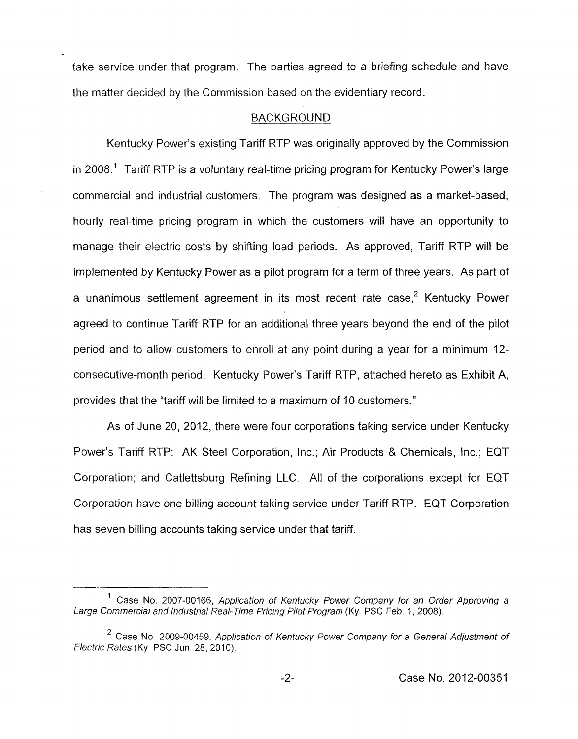take service under that program. The parties agreed to a briefing schedule and have the matter decided by the Commission based on the evidentiary record.

## BACKGROUND

Kentucky Power's existing Tariff RTP was originally approved by the Commission in 2008.' Tariff RTP is a voluntary real-time pricing program for Kentucky Power's large commercial and industrial customers. The program was designed as a market-based, hourly real-time pricing program in which the customers will have an opportunity to manage their electric costs by shifting load periods. As approved, Tariff RTP will be implemented by Kentucky Power as a pilot program for a term of three years. As part of a unanimous settlement agreement in its most recent rate case,<sup>2</sup> Kentucky Power agreed to continue Tariff RTP for an additional three years beyond the end of the pilot period and to allow customers to enroll at any point during a year for a minimum 12 consecutive-month period. Kentucky Power's Tariff RTP, attached hereto as Exhibit A, provides that the "tariff will be limited to a maximum of 10 customers."

As of June 20, 2012, there were four corporations taking service under Kentucky Power's Tariff RTP: AK Steel Corporation, Inc.; Air Products & Chemicals, Inc.; EQT Corporation; and Catlettsburg Refining LLC. All of the corporations except for EQT Corporation have one billing account taking service under Tariff RTP. EQT Corporation has seven billing accounts taking service under that tariff.

<sup>&</sup>lt;sup>1</sup> Case No. 2007-00166, Application of Kentucky Power Company for an Order Approving a Large Commercial and Industrial Real-Time Pricing Pilot Program (Ky. PSC Feb. 1, 2008).

<sup>&</sup>lt;sup>2</sup> Case No. 2009-00459, Application of Kentucky Power Company for a General Adjustment of *Electric Rates (Ky. PSC Jun. 28, 2010).*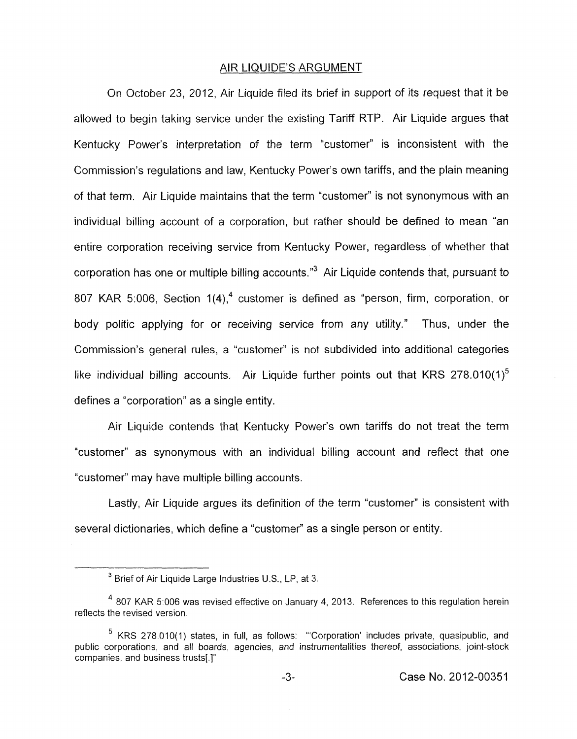## AIR LIQUIDE'S ARGUMENT

On October 23, 2012, Air Liquide filed its brief in support of its request that it be allowed to begin taking service under the existing Tariff RTP. Air Liquide argues that Kentucky Power's interpretation of the term "customer" is inconsistent with the Commission's regulations and law, Kentucky Power's own tariffs, and the plain meaning of that term. Air Liquide maintains that the term "customer" is not synonymous with an individual billing account of a corporation, but rather should be defined to mean "an entire corporation receiving service from Kentucky Power, regardless of whether that corporation has one or multiple billing accounts. $"$ <sup>3</sup> Air Liquide contends that, pursuant to 807 KAR 5:006, Section 1(4),<sup>4</sup> customer is defined as "person, firm, corporation, or body politic applying for or receiving service from any utility.'' Thus, under the Commission's general rules, a "customer" is not subdivided into additional categories like individual billing accounts. Air Liquide further points out that KRS 278.010(1)<sup>5</sup> defines a "corporation" as a single entity.

Air Liquide contends that Kentucky Power's own tariffs do not treat the term "customer" as synonymous with an individual billing account and reflect that one "customer" may have multiple billing accounts.

Lastly, Air Liquide argues its definition of the term "customer" is consistent with several dictionaries, which define a "customer" as a single person or entity.

<sup>&</sup>lt;sup>3</sup> Brief of Air Liquide Large Industries U.S., LP, at 3.

<sup>&</sup>lt;sup>4</sup> 807 KAR 5:006 was revised effective on January 4, 2013. References to this regulation herein reflects the revised version

 $5$  KRS 278.010(1) states, in full, as follows: "Corporation' includes private, quasipublic, and public corporations, and all boards, agencies, and instrumentalities thereof, associations, joint-stock companies, and business trusts[ 1"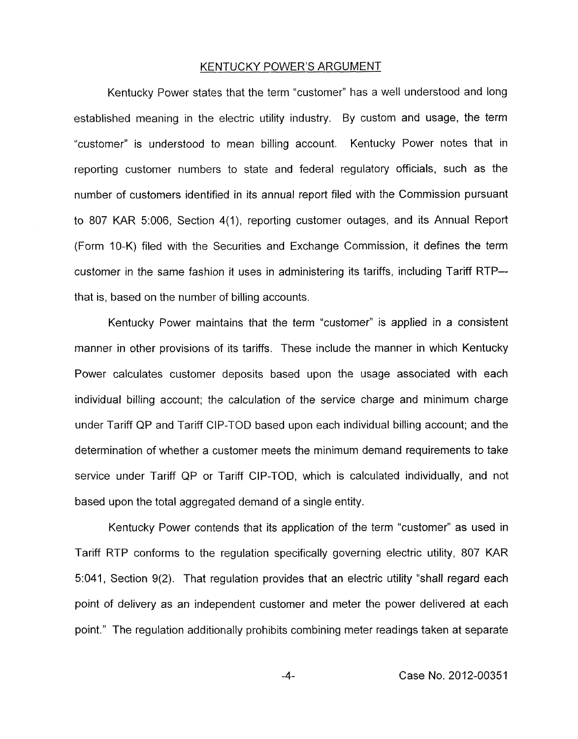### KENTUCKY POWER'S ARGUMENT

Kentucky Power states that the term "customer" has a well understood and long established meaning in the electric utility industry. By custom and usage, the term "customer" is understood to mean billing account. Kentucky Power notes that in reporting customer numbers to state and federal regulatory officials, such as the number of customers identified in its annual report filed with the Commission pursuant to 807 KAR 5:006, Section 4(1), reporting customer outages, and its Annual Report (Form 10-K) filed with the Securities and Exchange Commission, it defines the term customer in the same fashion it uses in administering its tariffs, including Tariff RTP- that is, based on the number of billing accounts.

Kentucky Power maintains that the term "customer" is applied in a consistent manner in other provisions of its tariffs. These include the manner in which Kentucky Power calculates customer deposits based upon the usage associated with each individual billing account; the calculation of the service charge and minimum charge under Tariff QP and Tariff CIP-TOD based upon each individual billing account; and the determination of whether a customer meets the minimum demand requirements *to* take service under Tariff QP or Tariff CIP-TOD, which is calculated individually, and not based upon the total aggregated demand of a single entity.

Kentucky Power contends that its application of the term "customer" as used in Tariff RTP conforms to the regulation specifically governing electric utility, 807 KAR 5:041 **I** Section 9(2). That regulation provides that an electric utility "shall regard each point of delivery as an independent customer and meter the power delivered at each point." The regulation additionally prohibits combining meter readings taken at separate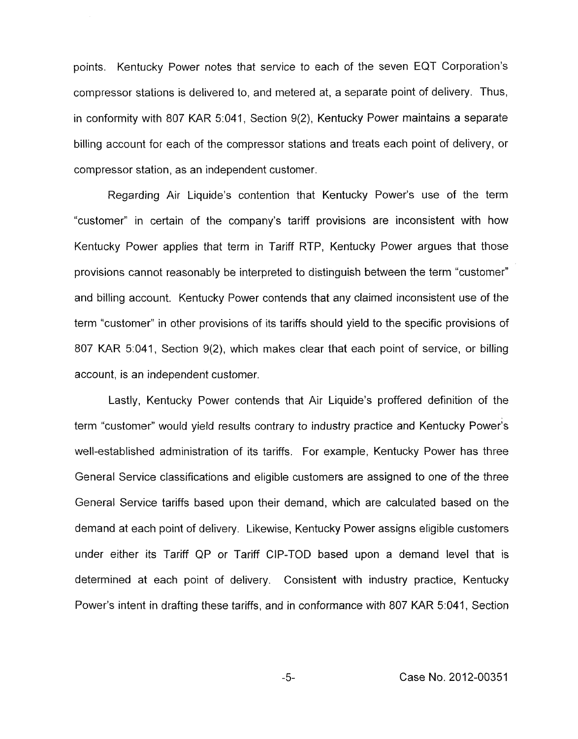points. Kentucky Power notes that service to each of the seven EQT Corporation's compressor stations is delivered to, and metered at, a separate point of delivery. Thus, in conformity with 807 KAR 5:041, Section 9(2), Kentucky Power maintains a separate billing account for each of the compressor stations and treats each point of delivery, or compressor station, as an independent customer.

Regarding Air Liquide's contention that Kentucky Power's use of the term "customer" in certain of the company's tariff provisions are inconsistent with how Kentucky Power applies that term in Tariff RTP, Kentucky Power argues that those provisions cannot reasonably be interpreted to distinguish between the term "customer'' and billing account. Kentucky Power contends that any claimed inconsistent use of the term "customer" in other provisions of its tariffs should yield to the specific provisions of 807 KAR 5:041, Section 9(2), which makes clear that each point of service, or billing account, is an independent customer.

Lastly, Kentucky Power contends that Air Liquide's proffered definition of the term "customer" would yield results contrary to industry practice and Kentucky Power's well-established administration of its tariffs. For example, Kentucky Power has three General Service classifications and eligible customers are assigned to one of the three General Service tariffs based upon their demand, which are calculated based on the demand at each point of delivery. Likewise, Kentucky Power assigns eligible customers under either its Tariff QP or Tariff CIP-TOD based upon a demand level that is determined at each point of delivery. Consistent with industry practice, Kentucky Power's intent in drafting these tariffs, and in conformance with 807 KAR 5:041, Section

-5- Case No. 2012-00351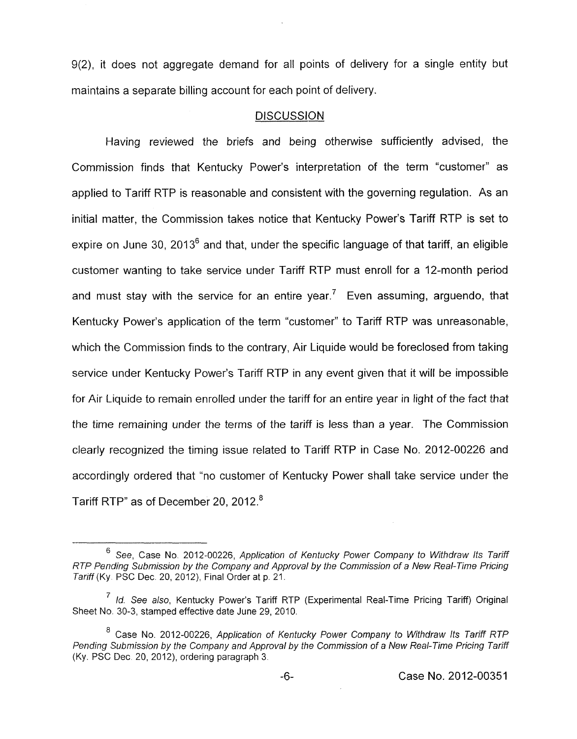9(2), it does not aggregate demand for all points of delivery for a single entity but maintains a separate billing account for each point of delivery.

### **DISCUSSION**

Having reviewed the briefs and being otherwise sufficiently advised, the Commission finds that Kentucky Power's interpretation of the term "customer" as applied to Tariff RTP is reasonable and consistent with the governing regulation. As an initial matter, the Commission takes notice that Kentucky Power's Tariff RTP is set to expire on June 30, 2013<sup>6</sup> and that, under the specific language of that tariff, an eligible customer wanting to take service under Tariff RTP must enroll for a 12-month period and must stay with the service for an entire year.<sup>7</sup> Even assuming, arguendo, that Kentucky Power's application of the term "customer" to Tariff RTP was unreasonable, which the Commission finds to the contrary, Air Liquide would be foreclosed from taking service under Kentucky Power's Tariff RTP in any event given that it will be impossible for Air Liquide to remain enrolled under the tariff for an entire year in fight of the fact that the time remaining under the terms of the tariff is less than a year. The Commission clearly recognized the timing issue related to Tariff RTP in Case No. 2012-00226 and accordingly ordered that "no customer of Kentucky Power shall take service under the Tariff RTP" as of December 20, 2012.<sup>8</sup>

<sup>&</sup>lt;sup>6</sup> See. Case No. 2012-00226, Application of Kentucky Power Company to Withdraw Its Tariff *RTP Pending Submission by fhe Company and Approval by fhe Commission of a New Real-Time Pricing Tariff (Ky. PSC Dec. 20, 2012), Final Order at p. 21.* 

*Id. See also,* Kentucky Power's Tariff RTP (Experimental Real-Time Pricing Tariff) Original *<sup>7</sup>* Sheet No. 30-3, stamped effective date June 29, 2010.

Case No. 2012-00226, *Application of Kentucky Power Company to Withdraw Its Tariff RTP Pending Submission by the Company and Approval by the Commission of a New Real-Time Pricing Tariff (Ky.* PSC Dec 20, 2012), ordering paragraph 3.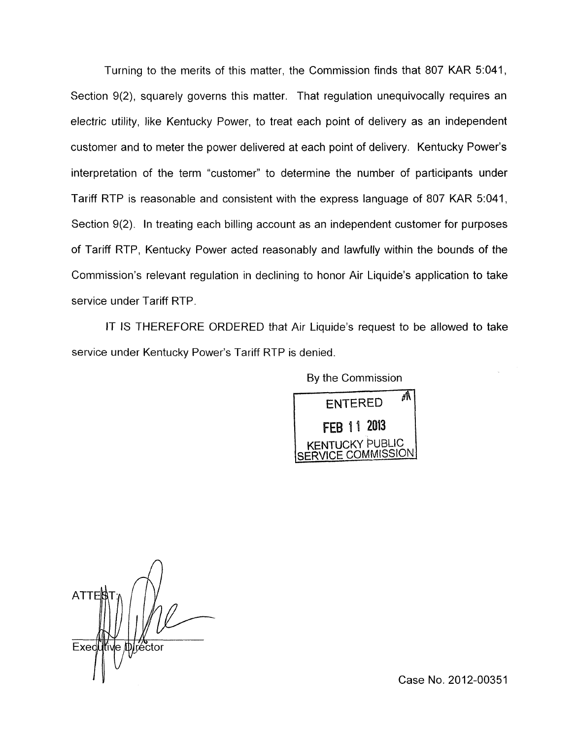Turning to the merits of this matter, the Commission finds that *807* KAR 5:041, Section 9(2), squarely governs this matter. That regulation unequivocally requires an electric utility, like Kentucky Power, to treat each point of delivery as an independent customer and to meter the power delivered at each point of delivery. Kentucky Power's interpretation of the term "customer" to determine the number of participants under Tariff RTP is reasonable and consistent with the express language of *807* KAR 5:041, Section 9(2). In treating each billing account as an independent customer for purposes of Tariff RTP, Kentucky Power acted reasonably and lawfully within the bounds of the Commission's relevant regulation in declining to honor Air Liquide's application to take service under Tariff RTP

IT IS THEREFORE ORDERED that Air Liquide's request to be allowed to take service under Kentucky Power's Tariff RTP is denied.

By the Commission

pGiEi7q FFR 11 2013 LICKY PUBLIC SERVICE COMMISSION

*A*  **ATTER** Exed

Case No. 2012-00351